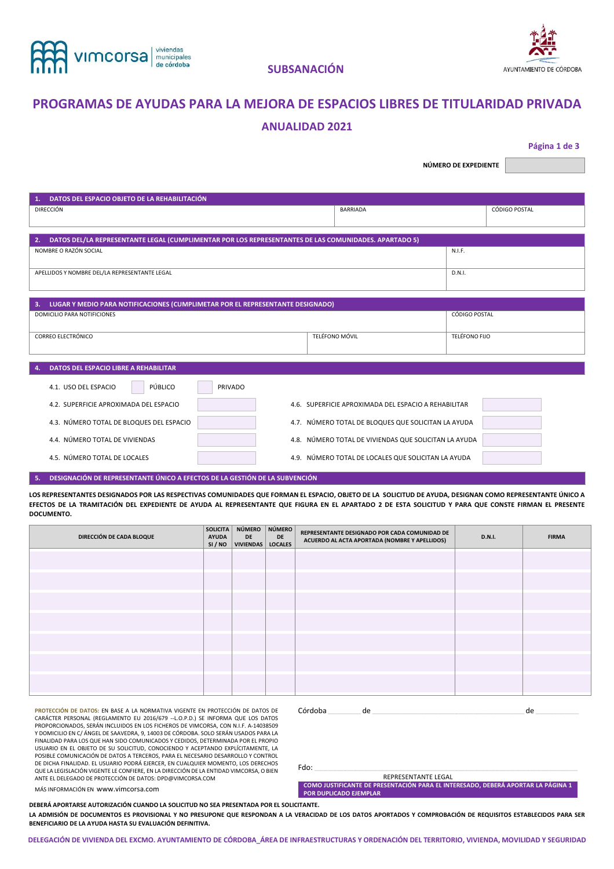

## **SUBSANACIÓN**



# **PROGRAMAS DE AYUDAS PARA LA MEJORA DE ESPACIOS LIBRES DE TITULARIDAD PRIVADA ANUALIDAD 2021**

**Página 1 de 3**

**NÚMERO DE EXPEDIENTE** 

| 1. DATOS DEL ESPACIO OBJETO DE LA REHABILITACIÓN                                                                 |                       |                                                       |                      |
|------------------------------------------------------------------------------------------------------------------|-----------------------|-------------------------------------------------------|----------------------|
| <b>DIRECCIÓN</b>                                                                                                 | <b>BARRIADA</b>       |                                                       | <b>CÓDIGO POSTAL</b> |
|                                                                                                                  |                       |                                                       |                      |
| DATOS DEL/LA REPRESENTANTE LEGAL (CUMPLIMENTAR POR LOS REPRESENTANTES DE LAS COMUNIDADES. APARTADO 5)<br>2.      |                       |                                                       |                      |
| NOMBRE O RAZÓN SOCIAL                                                                                            |                       |                                                       | N.I.F.               |
|                                                                                                                  |                       |                                                       |                      |
| APELLIDOS Y NOMBRE DEL/LA REPRESENTANTE LEGAL                                                                    |                       |                                                       | D.N.I.               |
|                                                                                                                  |                       |                                                       |                      |
|                                                                                                                  |                       |                                                       |                      |
| 3. LUGAR Y MEDIO PARA NOTIFICACIONES (CUMPLIMETAR POR EL REPRESENTANTE DESIGNADO)<br>DOMICILIO PARA NOTIFICIONES |                       |                                                       | CÓDIGO POSTAL        |
|                                                                                                                  |                       |                                                       |                      |
| <b>CORREO ELECTRÓNICO</b>                                                                                        | <b>TELÉFONO MÓVIL</b> |                                                       | <b>TELÉFONO FIJO</b> |
|                                                                                                                  |                       |                                                       |                      |
|                                                                                                                  |                       |                                                       |                      |
| DATOS DEL ESPACIO LIBRE A REHABILITAR                                                                            |                       |                                                       |                      |
| PÚBLICO<br>PRIVADO<br>4.1. USO DEL ESPACIO                                                                       |                       |                                                       |                      |
| 4.2. SUPERFICIE APROXIMADA DEL ESPACIO                                                                           |                       | 4.6. SUPERFICIE APROXIMADA DEL ESPACIO A REHABILITAR  |                      |
| 4.3. NÚMERO TOTAL DE BLOQUES DEL ESPACIO                                                                         |                       | 4.7. NÚMERO TOTAL DE BLOQUES QUE SOLICITAN LA AYUDA   |                      |
| 4.4. NÚMERO TOTAL DE VIVIENDAS                                                                                   |                       | 4.8. NÚMERO TOTAL DE VIVIENDAS QUE SOLICITAN LA AYUDA |                      |
| 4.5. NÚMERO TOTAL DE LOCALES                                                                                     |                       | 4.9. NÚMERO TOTAL DE LOCALES QUE SOLICITAN LA AYUDA   |                      |

### **5. DESIGNACIÓN DE REPRESENTANTE ÚNICO A EFECTOS DE LA GESTIÓN DE LA SUBVENCIÓN**

**LOS REPRESENTANTES DESIGNADOS POR LAS RESPECTIVAS COMUNIDADES QUE FORMAN EL ESPACIO, OBJETO DE LA SOLICITUD DE AYUDA, DESIGNAN COMO REPRESENTANTE ÚNICO A EFECTOS DE LA TRAMITACIÓN DEL EXPEDIENTE DE AYUDA AL REPRESENTANTE QUE FIGURA EN EL APARTADO 2 DE ESTA SOLICITUD Y PARA QUE CONSTE FIRMAN EL PRESENTE DOCUMENTO.** 

| DIRECCIÓN DE CADA BLOQUE | SOLICITA<br><b>AYUDA</b><br>SI/NO | NÚMERO  <br>DE<br>VIVIENDAS   LOCALES | $\mid$ NÚMERO $\mid$<br>DE | REPRESENTANTE DESIGNADO POR CADA COMUNIDAD DE<br>ACUERDO AL ACTA APORTADA (NOMBRE Y APELLIDOS) | <b>D.N.I.</b> | <b>FIRMA</b> |
|--------------------------|-----------------------------------|---------------------------------------|----------------------------|------------------------------------------------------------------------------------------------|---------------|--------------|
|                          |                                   |                                       |                            |                                                                                                |               |              |
|                          |                                   |                                       |                            |                                                                                                |               |              |
|                          |                                   |                                       |                            |                                                                                                |               |              |
|                          |                                   |                                       |                            |                                                                                                |               |              |
|                          |                                   |                                       |                            |                                                                                                |               |              |
|                          |                                   |                                       |                            |                                                                                                |               |              |
|                          |                                   |                                       |                            |                                                                                                |               |              |

**PROTECCIÓN DE DATOS:** EN BASE A LA NORMATIVA VIGENTE EN PROTECCIÓN DE DATOS DE CARÁCTER PERSONAL (REGLAMENTO EU 2016/679 --L.O.P.D.) SE INFORMA QUE LOS DATOS PROPORCIONADOS, SERÁN INCLUIDOS EN LOS FICHEROS DE VIMCORSA, CON N.I.F. A-14038509 Y DOMICILIO EN C/ ÁNGEL DE SAAVEDRA, 9, 14003 DE CÓRDOBA. SOLO SERÁN USADOS PARA LA FINALIDAD PARA LOS QUE HAN SIDO COMUNICADOS Y CEDIDOS, DETERMINADA POR EL PROPIO USUARIO EN EL OBJETO DE SU SOLICITUD, CONOCIENDO Y ACEPTANDO EXPLÍCITAMENTE, LA POSIBLE COMUNICACIÓN DE DATOS A TERCEROS, PARA EL NECESARIO DESARROLLO Y CONTROL DE DICHA FINALIDAD. EL USUARIO PODRÁ EJERCER, EN CUALQUIER MOMENTO, LOS DERECHOS QUE LA LEGISLACIÓN VIGENTE LE CONFIERE, EN LA DIRECCIÓN DE LA ENTIDAD VIMCORSA, O BIEN ANTE EL DELEGADO DE PROTECCIÓN DE DATOS: DPD@VIMCORSA.COM

Córdoba \_\_\_\_\_\_\_\_\_\_\_\_\_\_\_\_ de \_\_\_\_\_\_\_\_\_\_\_\_\_\_\_\_\_\_\_\_\_\_\_\_\_\_\_\_\_\_\_\_\_\_\_\_\_\_\_\_\_\_\_\_\_\_\_\_\_\_\_\_\_\_\_\_\_\_\_\_\_\_\_\_\_\_\_\_\_\_\_\_\_\_ de \_\_\_\_\_\_\_\_\_\_\_\_\_\_\_\_\_\_\_\_\_

Fdo: \_\_\_\_\_\_\_\_\_\_\_\_\_\_\_\_\_\_\_\_\_\_\_\_\_\_\_\_\_\_\_\_\_\_\_\_\_\_\_\_\_\_\_\_\_\_\_\_\_\_\_\_\_\_\_\_\_\_\_\_\_\_\_\_\_\_\_\_\_\_\_\_\_\_\_\_\_\_\_\_\_\_\_\_\_\_\_\_\_\_\_\_\_\_\_\_\_\_\_\_\_\_\_\_\_\_\_\_\_\_\_\_\_\_\_\_\_\_\_\_\_\_\_\_\_\_\_\_

REPRESENTANTE LEGAL

**COMO JUSTIFICANTE DE PRESENTACIÓN PARA EL INTERESADO, DEBERÁ APORTAR LA PÁGINA 1 POR DUPLICADO EJEMPLAR**

MÁS INFORMACIÓN EN www.vimcorsa.com

**DEBERÁ APORTARSE AUTORIZACIÓN CUANDO LA SOLICITUD NO SEA PRESENTADA POR EL SOLICITANTE. LA ADMISIÓN DE DOCUMENTOS ES PROVISIONAL Y NO PRESUPONE QUE RESPONDAN A LA VERACIDAD DE LOS DATOS APORTADOS Y COMPROBACIÓN DE REQUISITOS ESTABLECIDOS PARA SER BENEFICIARIO DE LA AYUDA HASTA SU EVALUACIÓN DEFINITIVA.**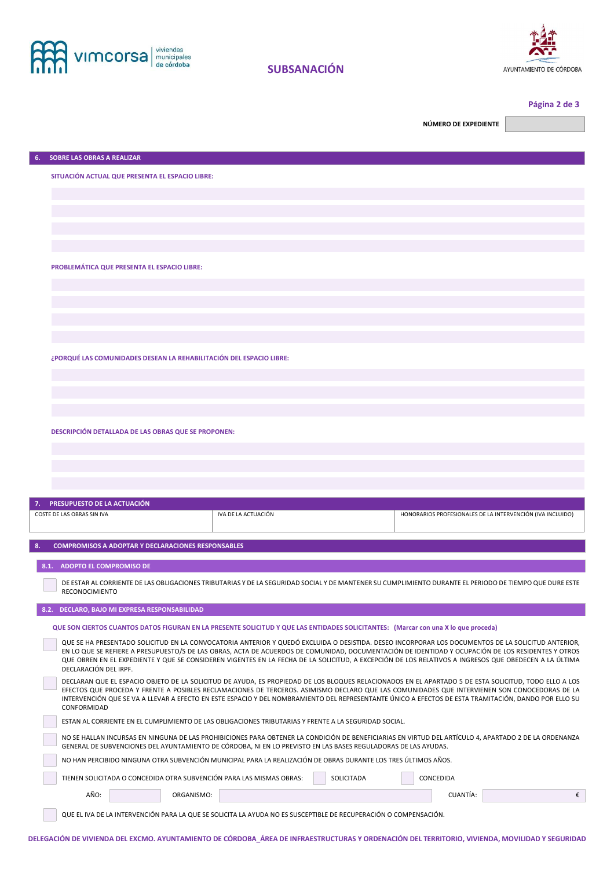



**Página 2 de 3** 

Ξ

**NÚMERO DE EXPEDIENTE** 

| 6.   |                                                                      |                                                                                                                                                                                                                                                                                                             |                                                            |   |
|------|----------------------------------------------------------------------|-------------------------------------------------------------------------------------------------------------------------------------------------------------------------------------------------------------------------------------------------------------------------------------------------------------|------------------------------------------------------------|---|
|      |                                                                      |                                                                                                                                                                                                                                                                                                             |                                                            |   |
|      | <b>SOBRE LAS OBRAS A REALIZAR</b>                                    |                                                                                                                                                                                                                                                                                                             |                                                            |   |
|      |                                                                      |                                                                                                                                                                                                                                                                                                             |                                                            |   |
|      | SITUACIÓN ACTUAL QUE PRESENTA EL ESPACIO LIBRE:                      |                                                                                                                                                                                                                                                                                                             |                                                            |   |
|      |                                                                      |                                                                                                                                                                                                                                                                                                             |                                                            |   |
|      |                                                                      |                                                                                                                                                                                                                                                                                                             |                                                            |   |
|      |                                                                      |                                                                                                                                                                                                                                                                                                             |                                                            |   |
|      |                                                                      |                                                                                                                                                                                                                                                                                                             |                                                            |   |
|      |                                                                      |                                                                                                                                                                                                                                                                                                             |                                                            |   |
|      | PROBLEMÁTICA QUE PRESENTA EL ESPACIO LIBRE:                          |                                                                                                                                                                                                                                                                                                             |                                                            |   |
|      |                                                                      |                                                                                                                                                                                                                                                                                                             |                                                            |   |
|      |                                                                      |                                                                                                                                                                                                                                                                                                             |                                                            |   |
|      |                                                                      |                                                                                                                                                                                                                                                                                                             |                                                            |   |
|      |                                                                      |                                                                                                                                                                                                                                                                                                             |                                                            |   |
|      |                                                                      |                                                                                                                                                                                                                                                                                                             |                                                            |   |
|      |                                                                      |                                                                                                                                                                                                                                                                                                             |                                                            |   |
|      | ¿PORQUÉ LAS COMUNIDADES DESEAN LA REHABILITACIÓN DEL ESPACIO LIBRE:  |                                                                                                                                                                                                                                                                                                             |                                                            |   |
|      |                                                                      |                                                                                                                                                                                                                                                                                                             |                                                            |   |
|      |                                                                      |                                                                                                                                                                                                                                                                                                             |                                                            |   |
|      |                                                                      |                                                                                                                                                                                                                                                                                                             |                                                            |   |
|      |                                                                      |                                                                                                                                                                                                                                                                                                             |                                                            |   |
|      | DESCRIPCIÓN DETALLADA DE LAS OBRAS QUE SE PROPONEN:                  |                                                                                                                                                                                                                                                                                                             |                                                            |   |
|      |                                                                      |                                                                                                                                                                                                                                                                                                             |                                                            |   |
|      |                                                                      |                                                                                                                                                                                                                                                                                                             |                                                            |   |
|      |                                                                      |                                                                                                                                                                                                                                                                                                             |                                                            |   |
|      |                                                                      |                                                                                                                                                                                                                                                                                                             |                                                            |   |
| 7.   |                                                                      |                                                                                                                                                                                                                                                                                                             |                                                            |   |
|      | PRESUPUESTO DE LA ACTUACIÓN                                          |                                                                                                                                                                                                                                                                                                             |                                                            |   |
|      | COSTE DE LAS OBRAS SIN IVA                                           | IVA DE LA ACTUACIÓN                                                                                                                                                                                                                                                                                         | HONORARIOS PROFESIONALES DE LA INTERVENCIÓN (IVA INCLUIDO) |   |
|      |                                                                      |                                                                                                                                                                                                                                                                                                             |                                                            |   |
| 8.   | <b>COMPROMISOS A ADOPTAR Y DECLARACIONES RESPONSABLES</b>            |                                                                                                                                                                                                                                                                                                             |                                                            |   |
| 8.1. | <b>ADOPTO EL COMPROMISO DE</b>                                       |                                                                                                                                                                                                                                                                                                             |                                                            |   |
|      |                                                                      |                                                                                                                                                                                                                                                                                                             |                                                            |   |
|      | <b>RECONOCIMIENTO</b>                                                | DE ESTAR AL CORRIENTE DE LAS OBLIGACIONES TRIBUTARIAS Y DE LA SEGURIDAD SOCIAL Y DE MANTENER SU CUMPLIMIENTO DURANTE EL PERIODO DE TIEMPO QUE DURE ESTE                                                                                                                                                     |                                                            |   |
|      |                                                                      |                                                                                                                                                                                                                                                                                                             |                                                            |   |
|      | 8.2. DECLARO, BAJO MI EXPRESA RESPONSABILIDAD                        |                                                                                                                                                                                                                                                                                                             |                                                            |   |
|      |                                                                      | QUE SON CIERTOS CUANTOS DATOS FIGURAN EN LA PRESENTE SOLICITUD Y QUE LAS ENTIDADES SOLICITANTES: (Marcar con una X lo que proceda)                                                                                                                                                                          |                                                            |   |
|      |                                                                      | QUE SE HA PRESENTADO SOLICITUD EN LA CONVOCATORIA ANTERIOR Y QUEDÓ EXCLUIDA O DESISTIDA. DESEO INCORPORAR LOS DOCUMENTOS DE LA SOLICITUD ANTERIOR,                                                                                                                                                          |                                                            |   |
|      |                                                                      | EN LO QUE SE REFIERE A PRESUPUESTO/S DE LAS OBRAS, ACTA DE ACUERDOS DE COMUNIDAD, DOCUMENTACIÓN DE IDENTIDAD Y OCUPACIÓN DE LOS RESIDENTES Y OTROS<br>QUE OBREN EN EL EXPEDIENTE Y QUE SE CONSIDEREN VIGENTES EN LA FECHA DE LA SOLICITUD, A EXCEPCIÓN DE LOS RELATIVOS A INGRESOS QUE OBEDECEN A LA ÚLTIMA |                                                            |   |
|      | DECLARACIÓN DEL IRPF.                                                |                                                                                                                                                                                                                                                                                                             |                                                            |   |
|      |                                                                      | DECLARAN QUE EL ESPACIO OBJETO DE LA SOLICITUD DE AYUDA, ES PROPIEDAD DE LOS BLOQUES RELACIONADOS EN EL APARTADO 5 DE ESTA SOLICITUD, TODO ELLO A LOS<br>EFECTOS QUE PROCEDA Y FRENTE A POSIBLES RECLAMACIONES DE TERCEROS. ASIMISMO DECLARO QUE LAS COMUNIDADES QUE INTERVIENEN SON CONOCEDORAS DE LA      |                                                            |   |
|      | CONFORMIDAD                                                          | INTERVENCIÓN QUE SE VA A LLEVAR A EFECTO EN ESTE ESPACIO Y DEL NOMBRAMIENTO DEL REPRESENTANTE ÚNICO A EFECTOS DE ESTA TRAMITACIÓN, DANDO POR ELLO SU                                                                                                                                                        |                                                            |   |
|      |                                                                      |                                                                                                                                                                                                                                                                                                             |                                                            |   |
|      |                                                                      | ESTAN AL CORRIENTE EN EL CUMPLIMIENTO DE LAS OBLIGACIONES TRIBUTARIAS Y FRENTE A LA SEGURIDAD SOCIAL.                                                                                                                                                                                                       |                                                            |   |
|      |                                                                      | NO SE HALLAN INCURSAS EN NINGUNA DE LAS PROHIBICIONES PARA OBTENER LA CONDICIÓN DE BENEFICIARIAS EN VIRTUD DEL ARTÍCULO 4, APARTADO 2 DE LA ORDENANZA<br>GENERAL DE SUBVENCIONES DEL AYUNTAMIENTO DE CÓRDOBA, NI EN LO PREVISTO EN LAS BASES REGULADORAS DE LAS AYUDAS.                                     |                                                            |   |
|      |                                                                      | NO HAN PERCIBIDO NINGUNA OTRA SUBVENCIÓN MUNICIPAL PARA LA REALIZACIÓN DE OBRAS DURANTE LOS TRES ÚLTIMOS AÑOS.                                                                                                                                                                                              |                                                            |   |
|      | TIENEN SOLICITADA O CONCEDIDA OTRA SUBVENCIÓN PARA LAS MISMAS OBRAS: | SOLICITADA                                                                                                                                                                                                                                                                                                  | CONCEDIDA                                                  |   |
|      | AÑO:<br>ORGANISMO:                                                   |                                                                                                                                                                                                                                                                                                             | CUANTÍA:                                                   | € |